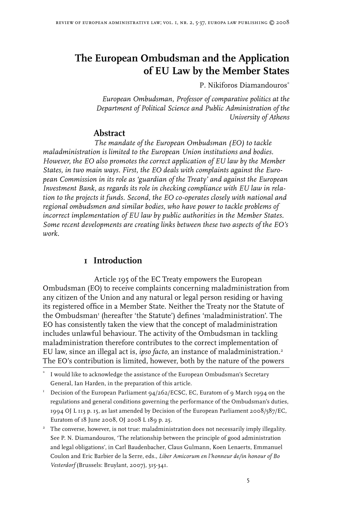# **The European Ombudsman and the Application of EU Law by the Member States**

P. Nikiforos Diamandouros<sup>\*</sup>

*European Ombudsman, Professor of comparative politics at the Department of Political Science and Public Administration of the University of Athens*

# **Abstract**

*The mandate of the European Ombudsman (EO) to tackle maladministration is limited to the European Union institutions and bodies. However, the EO also promotes the correct application of EU law by the Member States, in two main ways. First, the EO deals with complaints against the European Commission in its role as 'guardian of the Treaty' and against the European Investment Bank, as regards its role in checking compliance with EU law in relation to the projects it funds. Second, the EO co-operates closely with national and regional ombudsmen and similar bodies, who have power to tackle problems of incorrect implementation of EU law by public authorities in the Member States. Some recent developments are creating links between these two aspects of the EO's work.*

# **I** Introduction

Article 195 of the EC Treaty empowers the European Ombudsman (EO) to receive complaints concerning maladministration from any citizen of the Union and any natural or legal person residing or having its registered office in a Member State. Neither the Treaty nor the Statute of the Ombudsman<sup>1</sup> (hereafter 'the Statute') defines 'maladministration'. The EO has consistently taken the view that the concept of maladministration includes unlawful behaviour. The activity of the Ombudsman in tackling maladministration therefore contributes to the correct implementation of EU law, since an illegal act is, *ipso facto,* an instance of maladministration. The EO's contribution is limited, however, both by the nature of the powers

<sup>\*</sup> I would like to acknowledge the assistance of the European Ombudsman's Secretary General, Ian Harden, in the preparation of this article.

Decision of the European Parliament 94/262/ECSC, EC, Euratom of 9 March 1994 on the regulations and general conditions governing the performance of the Ombudsman's duties, 1994 OJ L 113 p. 15, as last amended by Decision of the European Parliament 2008/587/EC, Euratom of 18 June 2008, OJ 2008 L 189 p. 25.

 $2^2$  The converse, however, is not true: maladministration does not necessarily imply illegality. See P. N. Diamandouros, 'The relationship between the principle of good administration and legal obligations', in Carl Baudenbacher, Claus Gulmann, Koen Lenaerts, Emmanuel Coulon and Eric Barbier de la Serre, eds., *Liber Amicorum en l'honneur de/in honour of Bo Vesterdorf* (Brussels: Bruylant, 2007), 315-341.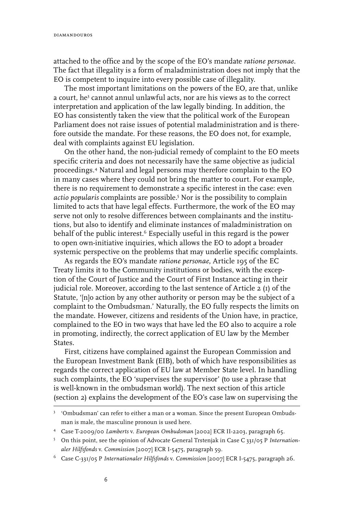attached to the office and by the scope of the EO's mandate *ratione personae*. The fact that illegality is a form of maladministration does not imply that the EO is competent to inquire into every possible case of illegality.

The most important limitations on the powers of the EO, are that, unlike a court, he<sup>3</sup> cannot annul unlawful acts, nor are his views as to the correct interpretation and application of the law legally binding. In addition, the EO has consistently taken the view that the political work of the European Parliament does not raise issues of potential maladministration and is therefore outside the mandate. For these reasons, the EO does not, for example, deal with complaints against EU legislation.

On the other hand, the non-judicial remedy of complaint to the EO meets specific criteria and does not necessarily have the same objective as judicial proceedings. Natural and legal persons may therefore complain to the EO in many cases where they could not bring the matter to court. For example, there is no requirement to demonstrate a specific interest in the case: even *actio popularis* complaints are possible. Nor is the possibility to complain limited to acts that have legal effects. Furthermore, the work of the EO may serve not only to resolve differences between complainants and the institutions, but also to identify and eliminate instances of maladministration on behalf of the public interest.<sup>6</sup> Especially useful in this regard is the power to open own-initiative inquiries, which allows the EO to adopt a broader systemic perspective on the problems that may underlie specific complaints.

As regards the EO's mandate *ratione personae*, Article 195 of the EC Treaty limits it to the Community institutions or bodies, with the exception of the Court of Justice and the Court of First Instance acting in their judicial role. Moreover, according to the last sentence of Article 2 (1) of the Statute, '[n]o action by any other authority or person may be the subject of a complaint to the Ombudsman.' Naturally, the EO fully respects the limits on the mandate. However, citizens and residents of the Union have, in practice, complained to the EO in two ways that have led the EO also to acquire a role in promoting, indirectly, the correct application of EU law by the Member States.

First, citizens have complained against the European Commission and the European Investment Bank (EIB), both of which have responsibilities as regards the correct application of EU law at Member State level. In handling such complaints, the EO 'supervises the supervisor' (to use a phrase that is well-known in the ombudsman world). The next section of this article (section 2) explains the development of the EO's case law on supervising the

 <sup>&#</sup>x27;Ombudsman' can refer to either a man or a woman. Since the present European Ombudsman is male, the masculine pronoun is used here.

Case T-2009/00 *Lamberts* v. *European Ombudsman* [2002] ECR II-2203, paragraph 65.

On this point, see the opinion of Advocate General Trstenjak in Case C 331/05 P *Internationaler Hilfsfonds* v. *Commission* [2007] ECR I-5475, paragraph 59.

Case C-331/05 P *Internationaler Hilfsfonds* v. *Commission* [2007] ECR I-5475, paragraph 26.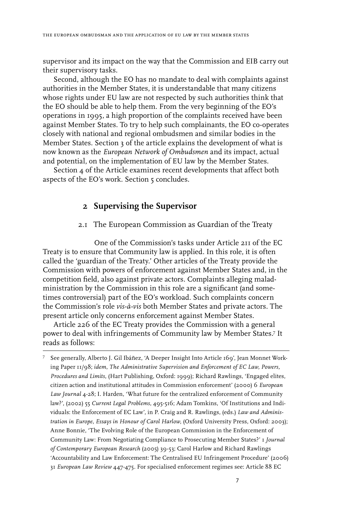supervisor and its impact on the way that the Commission and EIB carry out their supervisory tasks.

Second, although the EO has no mandate to deal with complaints against authorities in the Member States, it is understandable that many citizens whose rights under EU law are not respected by such authorities think that the EO should be able to help them. From the very beginning of the EO's operations in 1995, a high proportion of the complaints received have been against Member States. To try to help such complainants, the EO co-operates closely with national and regional ombudsmen and similar bodies in the Member States. Section 3 of the article explains the development of what is now known as the *European Network of Ombudsmen* and its impact, actual and potential, on the implementation of EU law by the Member States.

Section 4 of the Article examines recent developments that affect both aspects of the EO's work. Section 5 concludes.

# **2 Supervising the Supervisor**

### 2.1 The European Commission as Guardian of the Treaty

One of the Commission's tasks under Article 211 of the EC Treaty is to ensure that Community law is applied. In this role, it is often called the 'guardian of the Treaty.' Other articles of the Treaty provide the Commission with powers of enforcement against Member States and, in the competition field, also against private actors. Complaints alleging maladministration by the Commission in this role are a significant (and sometimes controversial) part of the EO's workload. Such complaints concern the Commission's role *vis-à-vis* both Member States and private actors. The present article only concerns enforcement against Member States.

Article 226 of the EC Treaty provides the Commission with a general power to deal with infringements of Community law by Member States.<sup>7</sup> It reads as follows:

See generally, Alberto J. Gil Ibáñez, 'A Deeper Insight Into Article 169', Jean Monnet Working Paper 11/98; *idem*, *The Administrative Supervision and Enforcement of EC Law, Powers, Procedures and Limits*, (Hart Publishing, Oxford: 1999); Richard Rawlings, 'Engaged elites, citizen action and institutional attitudes in Commission enforcement' (2000) 6 *European Law Journal* 4-28; I. Harden, 'What future for the centralized enforcement of Community law?', (2002) 55 *Current Legal Problems*, 495-516; Adam Tomkins, 'Of Institutions and Individuals: the Enforcement of EC Law', in P. Craig and R. Rawlings, (eds.) *Law and Administration in Europe, Essays in Honour of Carol Harlow*, (Oxford University Press, Oxford: 2003); Anne Bonnie, 'The Evolving Role of the European Commission in the Enforcement of Community Law: From Negotiating Compliance to Prosecuting Member States?' 1 *Journal of Contemporary European Research* (2005) 39-53; Carol Harlow and Richard Rawlings 'Accountability and Law Enforcement: The Centralised EU Infringement Procedure' (2006) 31 *European Law Review* 447-475. For specialised enforcement regimes see: Article 88 EC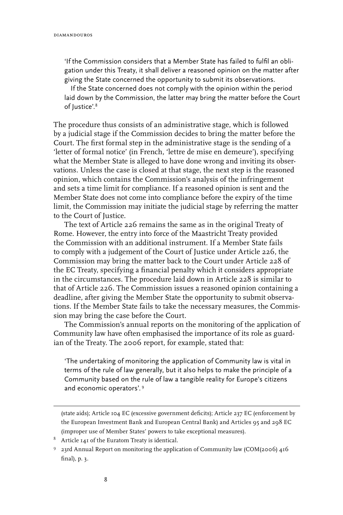'If the Commission considers that a Member State has failed to fulfil an obligation under this Treaty, it shall deliver a reasoned opinion on the matter after giving the State concerned the opportunity to submit its observations.

If the State concerned does not comply with the opinion within the period laid down by the Commission, the latter may bring the matter before the Court of Justice'.<sup>8</sup>

The procedure thus consists of an administrative stage, which is followed by a judicial stage if the Commission decides to bring the matter before the Court. The first formal step in the administrative stage is the sending of a 'letter of formal notice' (in French, 'lettre de mise en demeure'), specifying what the Member State is alleged to have done wrong and inviting its observations. Unless the case is closed at that stage, the next step is the reasoned opinion, which contains the Commission's analysis of the infringement and sets a time limit for compliance. If a reasoned opinion is sent and the Member State does not come into compliance before the expiry of the time limit, the Commission may initiate the judicial stage by referring the matter to the Court of Justice.

The text of Article 226 remains the same as in the original Treaty of Rome. However, the entry into force of the Maastricht Treaty provided the Commission with an additional instrument. If a Member State fails to comply with a judgement of the Court of Justice under Article 226, the Commission may bring the matter back to the Court under Article 228 of the EC Treaty, specifying a financial penalty which it considers appropriate in the circumstances. The procedure laid down in Article 228 is similar to that of Article 226. The Commission issues a reasoned opinion containing a deadline, after giving the Member State the opportunity to submit observations. If the Member State fails to take the necessary measures, the Commission may bring the case before the Court.

The Commission's annual reports on the monitoring of the application of Community law have often emphasised the importance of its role as guardian of the Treaty. The 2006 report, for example, stated that:

'The undertaking of monitoring the application of Community law is vital in terms of the rule of law generally, but it also helps to make the principle of a Community based on the rule of law a tangible reality for Europe's citizens and economic operators'.

(state aids); Article 104 EC (excessive government deficits); Article 237 EC (enforcement by the European Investment Bank and European Central Bank) and Articles 95 and 298 EC (improper use of Member States' powers to take exceptional measures).

 $8$  Article 141 of the Euratom Treaty is identical.

<sup>&</sup>lt;sup>9</sup> 23rd Annual Report on monitoring the application of Community law (COM(2006) 416 final), p. 3.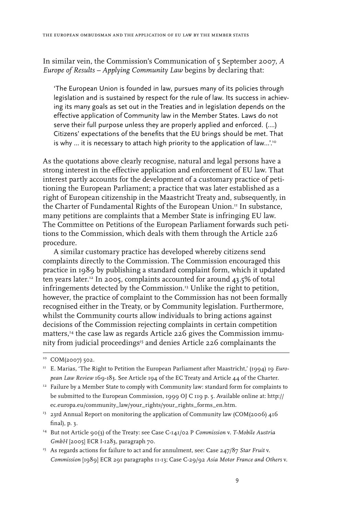In similar vein, the Commission's Communication of 5 September 2007, *A Europe of Results – Applying Community Law* begins by declaring that:

'The European Union is founded in law, pursues many of its policies through legislation and is sustained by respect for the rule of law. Its success in achieving its many goals as set out in the Treaties and in legislation depends on the effective application of Community law in the Member States. Laws do not serve their full purpose unless they are properly applied and enforced. (….) Citizens' expectations of the benefits that the EU brings should be met. That is why ... it is necessary to attach high priority to the application of law...'.<sup>10</sup>

As the quotations above clearly recognise, natural and legal persons have a strong interest in the effective application and enforcement of EU law. That interest partly accounts for the development of a customary practice of petitioning the European Parliament; a practice that was later established as a right of European citizenship in the Maastricht Treaty and, subsequently, in the Charter of Fundamental Rights of the European Union.<sup>11</sup> In substance, many petitions are complaints that a Member State is infringing EU law. The Committee on Petitions of the European Parliament forwards such petitions to the Commission, which deals with them through the Article 226 procedure.

A similar customary practice has developed whereby citizens send complaints directly to the Commission. The Commission encouraged this practice in 1989 by publishing a standard complaint form, which it updated ten years later.12 In 2005, complaints accounted for around 43.5% of total infringements detected by the Commission.<sup>13</sup> Unlike the right to petition, however, the practice of complaint to the Commission has not been formally recognised either in the Treaty, or by Community legislation. Furthermore, whilst the Community courts allow individuals to bring actions against decisions of the Commission rejecting complaints in certain competition matters,14 the case law as regards Article 226 gives the Commission immunity from judicial proceedings<sup>15</sup> and denies Article 226 complainants the

- <sup>13</sup> 23rd Annual Report on monitoring the application of Community law (COM(2006) 416 final), p. 3.
- 14 But not Article 90(3) of the Treaty: see Case C-141/02 P *Commission* v. *T-Mobile Austria GmbH* [2005] ECR I-1283, paragraph 70.
- <sup>15</sup> As regards actions for failure to act and for annulment, see: Case 247/87 Star Fruit v. *Commission* [1989] ECR 291 paragraphs 11-13; Case C-29/92 *Asia Motor France and Others* v.

<sup>&</sup>lt;sup>10</sup> COM(2007) 502.

<sup>11</sup> E. Marias, 'The Right to Petition the European Parliament after Maastricht,' (1994) 19 *European Law Review* 169-183. See Article 194 of the EC Treaty and Article 44 of the Charter.

 $12$  Failure by a Member State to comply with Community law: standard form for complaints to be submitted to the European Commission, 1999 OJ C 119 p. 5. Available online at: http:// ec.europa.eu/community\_law/your\_rights/your\_rights\_forms\_en.htm.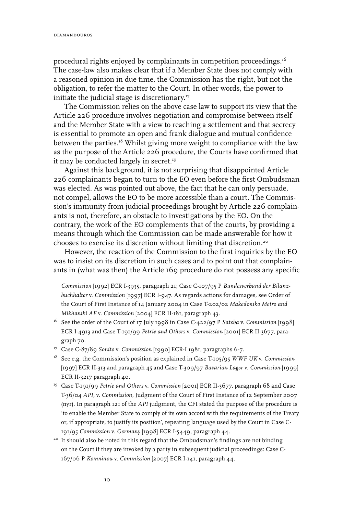procedural rights enjoyed by complainants in competition proceedings.16 The case-law also makes clear that if a Member State does not comply with a reasoned opinion in due time, the Commission has the right, but not the obligation, to refer the matter to the Court. In other words, the power to initiate the judicial stage is discretionary.17

The Commission relies on the above case law to support its view that the Article 226 procedure involves negotiation and compromise between itself and the Member State with a view to reaching a settlement and that secrecy is essential to promote an open and frank dialogue and mutual confidence between the parties.<sup>18</sup> Whilst giving more weight to compliance with the law as the purpose of the Article 226 procedure, the Courts have confirmed that it may be conducted largely in secret.<sup>19</sup>

Against this background, it is not surprising that disappointed Article 226 complainants began to turn to the EO even before the first Ombudsman was elected. As was pointed out above, the fact that he can only persuade, not compel, allows the EO to be more accessible than a court. The Commission's immunity from judicial proceedings brought by Article 226 complainants is not, therefore, an obstacle to investigations by the EO. On the contrary, the work of the EO complements that of the courts, by providing a means through which the Commission can be made answerable for how it chooses to exercise its discretion without limiting that discretion.20

However, the reaction of the Commission to the first inquiries by the EO was to insist on its discretion in such cases and to point out that complainants in (what was then) the Article 169 procedure do not possess any specific

- 17 Case C-87/89 *Sonito* v. *Commission* [1990] ECR-I 1981, paragraphs 6-7.
- 18 See e.g. the Commission's position as explained in Case T-105/95 *WWF UK* v. *Commission* [1997] ECR II-313 and paragraph 45 and Case T-309/97 *Bavarian Lager* v. *Commission* [1999] ECR II-3217 paragraph 40.
- 19 Case T-191/99 *Petrie and Others* v. *Commission* [2001] ECR II-3677, paragraph 68 and Case T-36/04 *API,* v. *Commission*, Judgment of the Court of First Instance of 12 September 2007 (nyr). In paragraph 121 of the *API* judgment, the CFI stated the purpose of the procedure is 'to enable the Member State to comply of its own accord with the requirements of the Treaty or, if appropriate, to justify its position', repeating language used by the Court in Case C-191/95 *Commission* v. *Germany* [1998] ECR I-5449, paragraph 44.
- <sup>20</sup> It should also be noted in this regard that the Ombudsman's findings are not binding on the Court if they are invoked by a party in subsequent judicial proceedings: Case C-167/06 P *Komninou* v. *Commission* [2007] ECR I-141, paragraph 44.

*Commission* [1992] ECR I-3935, paragraph 21; Case C-107/95 P *Bundesverband der Bilanzbuchhalter* v. *Commission* [1997] ECR I-947. As regards actions for damages, see Order of the Court of First Instance of 14 January 2004 in Case T-202/02 *Makedoniko Metro and Mikhaniki AE* v. *Commission* [2004] ECR II-181, paragraph 43.

<sup>16</sup> See the order of the Court of 17 July 1998 in Case C-422/97 P *Sateba* v. *Commission* [1998] ECR I-4913 and Case T-191/99 *Petrie and Others* v. *Commission* [2001] ECR II-3677, paragraph 70.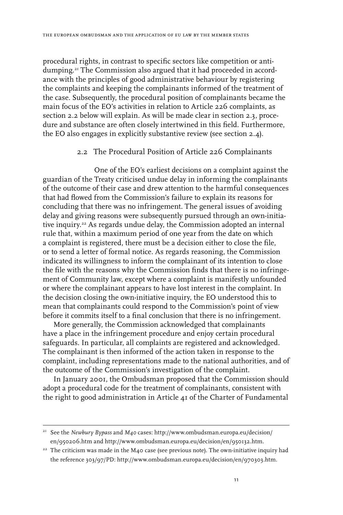procedural rights, in contrast to specific sectors like competition or antidumping.21 The Commission also argued that it had proceeded in accordance with the principles of good administrative behaviour by registering the complaints and keeping the complainants informed of the treatment of the case. Subsequently, the procedural position of complainants became the main focus of the EO's activities in relation to Article 226 complaints, as section 2.2 below will explain. As will be made clear in section 2.3, procedure and substance are often closely intertwined in this field. Furthermore, the EO also engages in explicitly substantive review (see section 2.4).

### 2.2 The Procedural Position of Article 226 Complainants

One of the EO's earliest decisions on a complaint against the guardian of the Treaty criticised undue delay in informing the complainants of the outcome of their case and drew attention to the harmful consequences that had flowed from the Commission's failure to explain its reasons for concluding that there was no infringement. The general issues of avoiding delay and giving reasons were subsequently pursued through an own-initiative inquiry.<sup>22</sup> As regards undue delay, the Commission adopted an internal rule that, within a maximum period of one year from the date on which a complaint is registered, there must be a decision either to close the file, or to send a letter of formal notice. As regards reasoning, the Commission indicated its willingness to inform the complainant of its intention to close the file with the reasons why the Commission finds that there is no infringement of Community law, except where a complaint is manifestly unfounded or where the complainant appears to have lost interest in the complaint. In the decision closing the own-initiative inquiry, the EO understood this to mean that complainants could respond to the Commission's point of view before it commits itself to a final conclusion that there is no infringement.

More generally, the Commission acknowledged that complainants have a place in the infringement procedure and enjoy certain procedural safeguards. In particular, all complaints are registered and acknowledged. The complainant is then informed of the action taken in response to the complaint, including representations made to the national authorities, and of the outcome of the Commission's investigation of the complaint.

In January 2001, the Ombudsman proposed that the Commission should adopt a procedural code for the treatment of complainants, consistent with the right to good administration in Article 41 of the Charter of Fundamental

<sup>21</sup> See the *Newbury Bypass* and *M40* cases: http://www.ombudsman.europa.eu/decision/ en/950206.htm and http://www.ombudsman.europa.eu/decision/en/950132.htm.

 $22$  The criticism was made in the M40 case (see previous note). The own-initiative inquiry had the reference 303/97/PD: http://www.ombudsman.europa.eu/decision/en/970303.htm.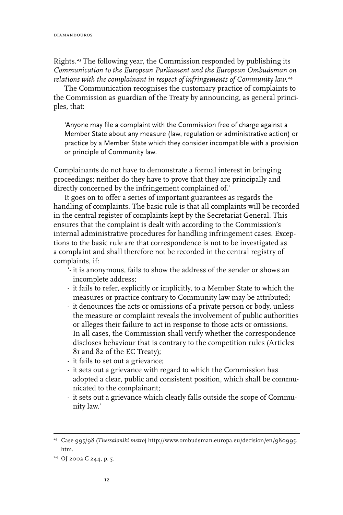Rights.<sup>23</sup> The following year, the Commission responded by publishing its *Communication to the European Parliament and the European Ombudsman on relations with the complainant in respect of infringements of Community law.*<sup>24</sup>

The Communication recognises the customary practice of complaints to the Commission as guardian of the Treaty by announcing, as general principles, that:

'Anyone may file a complaint with the Commission free of charge against a Member State about any measure (law, regulation or administrative action) or practice by a Member State which they consider incompatible with a provision or principle of Community law.

Complainants do not have to demonstrate a formal interest in bringing proceedings; neither do they have to prove that they are principally and directly concerned by the infringement complained of.'

It goes on to offer a series of important guarantees as regards the handling of complaints. The basic rule is that all complaints will be recorded in the central register of complaints kept by the Secretariat General. This ensures that the complaint is dealt with according to the Commission's internal administrative procedures for handling infringement cases. Exceptions to the basic rule are that correspondence is not to be investigated as a complaint and shall therefore not be recorded in the central registry of complaints, if:

- '- it is anonymous, fails to show the address of the sender or shows an incomplete address;
- it fails to refer, explicitly or implicitly, to a Member State to which the measures or practice contrary to Community law may be attributed;
- it denounces the acts or omissions of a private person or body, unless the measure or complaint reveals the involvement of public authorities or alleges their failure to act in response to those acts or omissions. In all cases, the Commission shall verify whether the correspondence discloses behaviour that is contrary to the competition rules (Articles 81 and 82 of the EC Treaty);
- it fails to set out a grievance;
- it sets out a grievance with regard to which the Commission has adopted a clear, public and consistent position, which shall be communicated to the complainant;
- it sets out a grievance which clearly falls outside the scope of Community law.'

<sup>23</sup> Case 995/98 (*Thessaloniki metro*) http://www.ombudsman.europa.eu/decision/en/980995. htm.

<sup>&</sup>lt;sup>24</sup> OJ 2002 C 244, p. 5.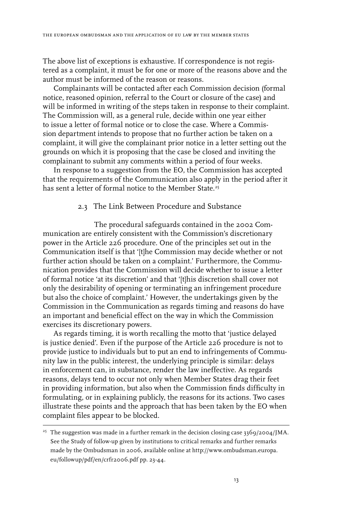The above list of exceptions is exhaustive. If correspondence is not registered as a complaint, it must be for one or more of the reasons above and the author must be informed of the reason or reasons.

Complainants will be contacted after each Commission decision (formal notice, reasoned opinion, referral to the Court or closure of the case) and will be informed in writing of the steps taken in response to their complaint. The Commission will, as a general rule, decide within one year either to issue a letter of formal notice or to close the case. Where a Commission department intends to propose that no further action be taken on a complaint, it will give the complainant prior notice in a letter setting out the grounds on which it is proposing that the case be closed and inviting the complainant to submit any comments within a period of four weeks.

In response to a suggestion from the EO, the Commission has accepted that the requirements of the Communication also apply in the period after it has sent a letter of formal notice to the Member State.<sup>25</sup>

#### 2.3 The Link Between Procedure and Substance

The procedural safeguards contained in the 2002 Communication are entirely consistent with the Commission's discretionary power in the Article 226 procedure. One of the principles set out in the Communication itself is that '[t]he Commission may decide whether or not further action should be taken on a complaint.' Furthermore, the Communication provides that the Commission will decide whether to issue a letter of formal notice 'at its discretion' and that '[t]his discretion shall cover not only the desirability of opening or terminating an infringement procedure but also the choice of complaint.' However, the undertakings given by the Commission in the Communication as regards timing and reasons do have an important and beneficial effect on the way in which the Commission exercises its discretionary powers.

As regards timing, it is worth recalling the motto that 'justice delayed is justice denied'. Even if the purpose of the Article 226 procedure is not to provide justice to individuals but to put an end to infringements of Community law in the public interest, the underlying principle is similar: delays in enforcement can, in substance, render the law ineffective. As regards reasons, delays tend to occur not only when Member States drag their feet in providing information, but also when the Commission finds difficulty in formulating, or in explaining publicly, the reasons for its actions. Two cases illustrate these points and the approach that has been taken by the EO when complaint files appear to be blocked.

<sup>&</sup>lt;sup>25</sup> The suggestion was made in a further remark in the decision closing case  $3369/2004$ /JMA. See the Study of follow-up given by institutions to critical remarks and further remarks made by the Ombudsman in 2006, available online at http://www.ombudsman.europa. eu/followup/pdf/en/crfr2006.pdf pp. 23-44.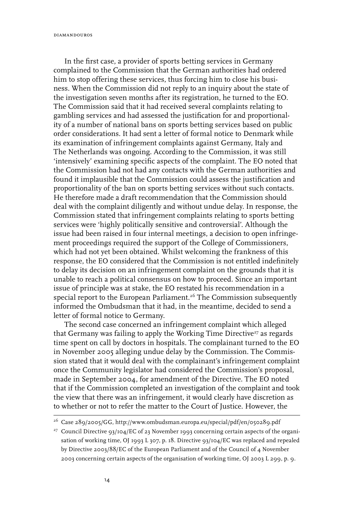diamandouros

In the first case, a provider of sports betting services in Germany complained to the Commission that the German authorities had ordered him to stop offering these services, thus forcing him to close his business. When the Commission did not reply to an inquiry about the state of the investigation seven months after its registration, he turned to the EO. The Commission said that it had received several complaints relating to gambling services and had assessed the justification for and proportionality of a number of national bans on sports betting services based on public order considerations. It had sent a letter of formal notice to Denmark while its examination of infringement complaints against Germany, Italy and The Netherlands was ongoing. According to the Commission, it was still 'intensively' examining specific aspects of the complaint. The EO noted that the Commission had not had any contacts with the German authorities and found it implausible that the Commission could assess the justification and proportionality of the ban on sports betting services without such contacts. He therefore made a draft recommendation that the Commission should deal with the complaint diligently and without undue delay. In response, the Commission stated that infringement complaints relating to sports betting services were 'highly politically sensitive and controversial'. Although the issue had been raised in four internal meetings, a decision to open infringement proceedings required the support of the College of Commissioners, which had not yet been obtained. Whilst welcoming the frankness of this response, the EO considered that the Commission is not entitled indefinitely to delay its decision on an infringement complaint on the grounds that it is unable to reach a political consensus on how to proceed. Since an important issue of principle was at stake, the EO restated his recommendation in a special report to the European Parliament.<sup>26</sup> The Commission subsequently informed the Ombudsman that it had, in the meantime, decided to send a letter of formal notice to Germany.

The second case concerned an infringement complaint which alleged that Germany was failing to apply the Working Time Directive<sup>27</sup> as regards time spent on call by doctors in hospitals. The complainant turned to the EO in November 2005 alleging undue delay by the Commission. The Commission stated that it would deal with the complainant's infringement complaint once the Community legislator had considered the Commission's proposal, made in September 2004, for amendment of the Directive. The EO noted that if the Commission completed an investigation of the complaint and took the view that there was an infringement, it would clearly have discretion as to whether or not to refer the matter to the Court of Justice. However, the

<sup>26</sup> Case 289/2005/GG, http://www.ombudsman.europa.eu/special/pdf/en/050289.pdf

<sup>&</sup>lt;sup>27</sup> Council Directive 93/104/EC of 23 November 1993 concerning certain aspects of the organisation of working time, OJ 1993 L 307, p. 18. Directive 93/104/EC was replaced and repealed by Directive 2003/88/EC of the European Parliament and of the Council of 4 November 2003 concerning certain aspects of the organisation of working time, OJ 2003 L 299, p. 9.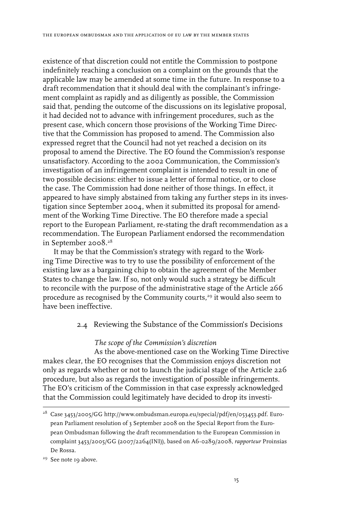existence of that discretion could not entitle the Commission to postpone indefinitely reaching a conclusion on a complaint on the grounds that the applicable law may be amended at some time in the future. In response to a draft recommendation that it should deal with the complainant's infringement complaint as rapidly and as diligently as possible, the Commission said that, pending the outcome of the discussions on its legislative proposal, it had decided not to advance with infringement procedures, such as the present case, which concern those provisions of the Working Time Directive that the Commission has proposed to amend. The Commission also expressed regret that the Council had not yet reached a decision on its proposal to amend the Directive. The EO found the Commission's response unsatisfactory. According to the 2002 Communication, the Commission's investigation of an infringement complaint is intended to result in one of two possible decisions: either to issue a letter of formal notice, or to close the case. The Commission had done neither of those things. In effect, it appeared to have simply abstained from taking any further steps in its investigation since September 2004, when it submitted its proposal for amendment of the Working Time Directive. The EO therefore made a special report to the European Parliament, re-stating the draft recommendation as a recommendation. The European Parliament endorsed the recommendation in September 2008.28

It may be that the Commission's strategy with regard to the Working Time Directive was to try to use the possibility of enforcement of the existing law as a bargaining chip to obtain the agreement of the Member States to change the law. If so, not only would such a strategy be difficult to reconcile with the purpose of the administrative stage of the Article 266 procedure as recognised by the Community courts,<sup>29</sup> it would also seem to have been ineffective.

### 2.4 Reviewing the Substance of the Commission's Decisions

## *The scope of the Commission's discretion*

As the above-mentioned case on the Working Time Directive makes clear, the EO recognises that the Commission enjoys discretion not only as regards whether or not to launch the judicial stage of the Article 226 procedure, but also as regards the investigation of possible infringements. The EO's criticism of the Commission in that case expressly acknowledged that the Commission could legitimately have decided to drop its investi-

<sup>&</sup>lt;sup>28</sup> Case 3453/2005/GG http://www.ombudsman.europa.eu/special/pdf/en/053453.pdf. European Parliament resolution of 3 September 2008 on the Special Report from the European Ombudsman following the draft recommendation to the European Commission in complaint 3453/2005/GG (2007/2264(INI)), based on A6-0289/2008, *rapporteur* Proinsias De Rossa.

<sup>&</sup>lt;sup>29</sup> See note 19 above.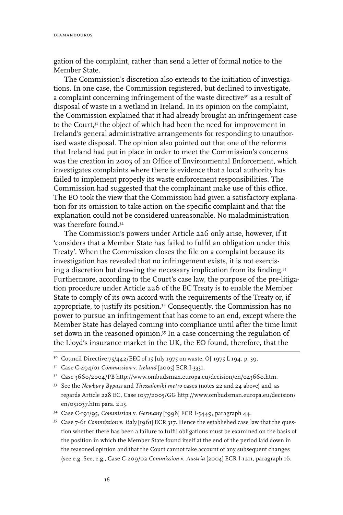gation of the complaint, rather than send a letter of formal notice to the Member State.

The Commission's discretion also extends to the initiation of investigations. In one case, the Commission registered, but declined to investigate, a complaint concerning infringement of the waste directive<sup>30</sup> as a result of disposal of waste in a wetland in Ireland. In its opinion on the complaint, the Commission explained that it had already brought an infringement case to the Court,<sup>31</sup> the object of which had been the need for improvement in Ireland's general administrative arrangements for responding to unauthorised waste disposal. The opinion also pointed out that one of the reforms that Ireland had put in place in order to meet the Commission's concerns was the creation in 2003 of an Office of Environmental Enforcement, which investigates complaints where there is evidence that a local authority has failed to implement properly its waste enforcement responsibilities. The Commission had suggested that the complainant make use of this office. The EO took the view that the Commission had given a satisfactory explanation for its omission to take action on the specific complaint and that the explanation could not be considered unreasonable. No maladministration was therefore found.<sup>32</sup>

The Commission's powers under Article 226 only arise, however, if it 'considers that a Member State has failed to fulfil an obligation under this Treaty'. When the Commission closes the file on a complaint because its investigation has revealed that no infringement exists, it is not exercising a discretion but drawing the necessary implication from its finding.33 Furthermore, according to the Court's case law, the purpose of the pre-litigation procedure under Article 226 of the EC Treaty is to enable the Member State to comply of its own accord with the requirements of the Treaty or, if appropriate, to justify its position.34 Consequently, the Commission has no power to pursue an infringement that has come to an end, except where the Member State has delayed coming into compliance until after the time limit set down in the reasoned opinion.<sup>35</sup> In a case concerning the regulation of the Lloyd's insurance market in the UK, the EO found, therefore, that the

<sup>&</sup>lt;sup>30</sup> Council Directive 75/442/EEC of 15 July 1975 on waste, OJ 1975 L 194, p. 39.

<sup>31</sup> Case C-494/01 *Commission* v. *Ireland* [2005] ECR I-3331.

<sup>32</sup> Case 3660/2004/PB http://www.ombudsman.europa.eu/decision/en/043660.htm.

<sup>33</sup> See the *Newbury Bypass* and *Thessaloniki metro* cases (notes 22 and 24 above) and, as regards Article 228 EC, Case 1037/2005/GG http://www.ombudsman.europa.eu/decision/ en/051037.htm para. 2.15.

<sup>34</sup> Case C-191/95, *Commission* v. *Germany* [1998] ECR I-5449, paragraph 44.

<sup>35</sup> Case 7-61 *Commission* v. *Italy* [1961] ECR 317. Hence the established case law that the question whether there has been a failure to fulfil obligations must be examined on the basis of the position in which the Member State found itself at the end of the period laid down in the reasoned opinion and that the Court cannot take account of any subsequent changes (see e.g. See, e.g., Case C-209/02 *Commission* v. *Austria* [2004] ECR I-1211, paragraph 16.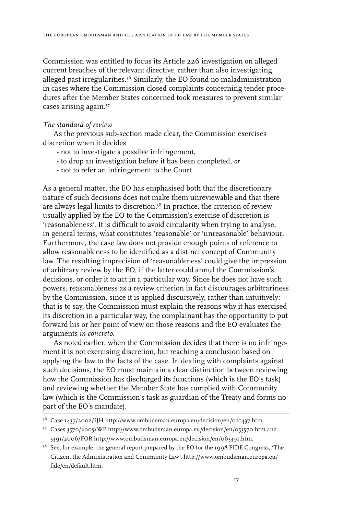Commission was entitled to focus its Article 226 investigation on alleged current breaches of the relevant directive, rather than also investigating alleged past irregularities.<sup>36</sup> Similarly, the EO found no maladministration in cases where the Commission closed complaints concerning tender procedures after the Member States concerned took measures to prevent similar cases arising again.37

#### *The standard of review*

As the previous sub-section made clear, the Commission exercises discretion when it decides

- not to investigate a possible infringement,
- to drop an investigation before it has been completed, *or*
- not to refer an infringement to the Court.

As a general matter, the EO has emphasised both that the discretionary nature of such decisions does not make them unreviewable and that there are always legal limits to discretion.<sup>38</sup> In practice, the criterion of review usually applied by the EO to the Commission's exercise of discretion is 'reasonableness'. It is difficult to avoid circularity when trying to analyse, in general terms, what constitutes 'reasonable' or 'unreasonable' behaviour. Furthermore, the case law does not provide enough points of reference to allow reasonableness to be identified as a distinct concept of Community law. The resulting imprecision of 'reasonableness' could give the impression of arbitrary review by the EO, if the latter could annul the Commission's decisions, or order it to act in a particular way. Since he does not have such powers, reasonableness as a review criterion in fact discourages arbitrariness by the Commission, since it is applied discursively, rather than intuitively: that is to say, the Commission must explain the reasons why it has exercised its discretion in a particular way, the complainant has the opportunity to put forward his or her point of view on those reasons and the EO evaluates the arguments *in concreto*.

As noted earlier, when the Commission decides that there is no infringement it is not exercising discretion, but reaching a conclusion based on applying the law to the facts of the case. In dealing with complaints against such decisions, the EO must maintain a clear distinction between reviewing how the Commission has discharged its functions (which is the EO's task) and reviewing whether the Member State has complied with Community law (which is the Commission's task as guardian of the Treaty and forms no part of the EO's mandate).

<sup>36</sup> Case 1437/2002/IJH http://www.ombudsman.europa.eu/decision/en/021437.htm.

<sup>37</sup> Cases 3570/2005/WP http://www.ombudsman.europa.eu/decision/en/053570.htm and 3391/2006/FOR http://www.ombudsman.europa.eu/decision/en/063391.htm.

<sup>&</sup>lt;sup>38</sup> See, for example, the general report prepared by the EO for the 1998 FIDE Congress, 'The Citizen, the Administration and Community Law', http://www.ombudsman.europa.eu/ fide/en/default.htm.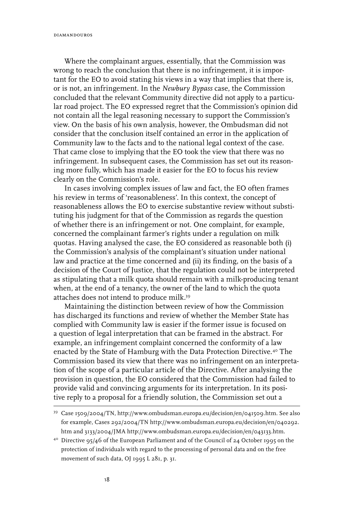Where the complainant argues, essentially, that the Commission was wrong to reach the conclusion that there is no infringement, it is important for the EO to avoid stating his views in a way that implies that there is, or is not, an infringement. In the *Newbury Bypass* case, the Commission concluded that the relevant Community directive did not apply to a particular road project. The EO expressed regret that the Commission's opinion did not contain all the legal reasoning necessary to support the Commission's view. On the basis of his own analysis, however, the Ombudsman did not consider that the conclusion itself contained an error in the application of Community law to the facts and to the national legal context of the case. That came close to implying that the EO took the view that there was no infringement. In subsequent cases, the Commission has set out its reasoning more fully, which has made it easier for the EO to focus his review clearly on the Commission's role.

In cases involving complex issues of law and fact, the EO often frames his review in terms of 'reasonableness'. In this context, the concept of reasonableness allows the EO to exercise substantive review without substituting his judgment for that of the Commission as regards the question of whether there is an infringement or not. One complaint, for example, concerned the complainant farmer's rights under a regulation on milk quotas. Having analysed the case, the EO considered as reasonable both (i) the Commission's analysis of the complainant's situation under national law and practice at the time concerned and (ii) its finding, on the basis of a decision of the Court of Justice, that the regulation could not be interpreted as stipulating that a milk quota should remain with a milk-producing tenant when, at the end of a tenancy, the owner of the land to which the quota attaches does not intend to produce milk.39

Maintaining the distinction between review of how the Commission has discharged its functions and review of whether the Member State has complied with Community law is easier if the former issue is focused on a question of legal interpretation that can be framed in the abstract. For example, an infringement complaint concerned the conformity of a law enacted by the State of Hamburg with the Data Protection Directive.40 The Commission based its view that there was no infringement on an interpretation of the scope of a particular article of the Directive. After analysing the provision in question, the EO considered that the Commission had failed to provide valid and convincing arguments for its interpretation. In its positive reply to a proposal for a friendly solution, the Commission set out a

<sup>39</sup> Case 1509/2004/TN, http://www.ombudsman.europa.eu/decision/en/041509.htm. See also for example, Cases 292/2004/TN http://www.ombudsman.europa.eu/decision/en/040292. htm and 3133/2004/JMA http://www.ombudsman.europa.eu/decision/en/043133.htm.

<sup>40</sup> Directive 95/46 of the European Parliament and of the Council of 24 October 1995 on the protection of individuals with regard to the processing of personal data and on the free movement of such data, OJ 1995 L 281, p. 31.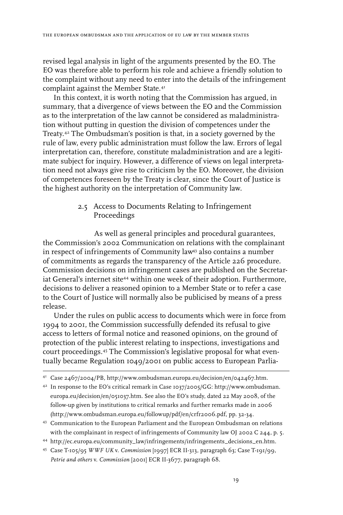revised legal analysis in light of the arguments presented by the EO. The EO was therefore able to perform his role and achieve a friendly solution to the complaint without any need to enter into the details of the infringement complaint against the Member State.<sup>41</sup>

In this context, it is worth noting that the Commission has argued, in summary, that a divergence of views between the EO and the Commission as to the interpretation of the law cannot be considered as maladministration without putting in question the division of competences under the Treaty.42 The Ombudsman's position is that, in a society governed by the rule of law, every public administration must follow the law. Errors of legal interpretation can, therefore, constitute maladministration and are a legitimate subject for inquiry. However, a difference of views on legal interpretation need not always give rise to criticism by the EO. Moreover, the division of competences foreseen by the Treaty is clear, since the Court of Justice is the highest authority on the interpretation of Community law.

# 2.5 Access to Documents Relating to Infringement Proceedings

As well as general principles and procedural guarantees, the Commission's 2002 Communication on relations with the complainant in respect of infringements of Community law<sup>43</sup> also contains a number of commitments as regards the transparency of the Article 226 procedure. Commission decisions on infringement cases are published on the Secretariat General's internet site<sup>44</sup> within one week of their adoption. Furthermore, decisions to deliver a reasoned opinion to a Member State or to refer a case to the Court of Justice will normally also be publicised by means of a press release.

Under the rules on public access to documents which were in force from 1994 to 2001, the Commission successfully defended its refusal to give access to letters of formal notice and reasoned opinions, on the ground of protection of the public interest relating to inspections, investigations and court proceedings.45 The Commission's legislative proposal for what eventually became Regulation 1049/2001 on public access to European Parlia-

<sup>41</sup> Case 2467/2004/PB, http://www.ombudsman.europa.eu/decision/en/042467.htm.

<sup>42</sup> In response to the EO's critical remark in Case 1037/2005/GG: http://www.ombudsman. europa.eu/decision/en/051037.htm. See also the EO's study, dated 22 May 2008, of the follow-up given by institutions to critical remarks and further remarks made in 2006 (http://www.ombudsman.europa.eu/followup/pdf/en/crfr2006.pdf, pp. 32-34.

<sup>43</sup> Communication to the European Parliament and the European Ombudsman on relations with the complainant in respect of infringements of Community law OJ 2002 C 244, p. 5.

<sup>44</sup> http://ec.europa.eu/community\_law/infringements/infringements\_decisions\_en.htm.

<sup>45</sup> Case T-105/95 *WWF UK* v. *Commission* [1997] ECR II-313, paragraph 63; Case T-191/99, *Petrie and others* v. *Commission* [2001] ECR II-3677, paragraph 68.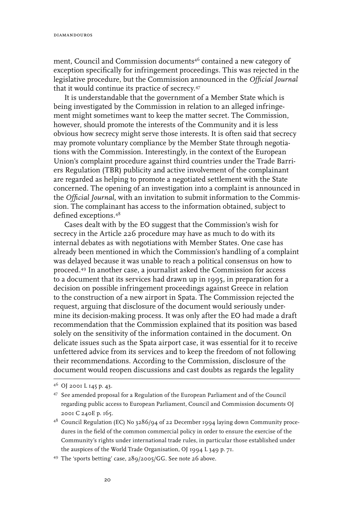ment, Council and Commission documents<sup>46</sup> contained a new category of exception specifically for infringement proceedings. This was rejected in the legislative procedure, but the Commission announced in the *Official Journal* that it would continue its practice of secrecy.47

It is understandable that the government of a Member State which is being investigated by the Commission in relation to an alleged infringement might sometimes want to keep the matter secret. The Commission, however, should promote the interests of the Community and it is less obvious how secrecy might serve those interests. It is often said that secrecy may promote voluntary compliance by the Member State through negotiations with the Commission. Interestingly, in the context of the European Union's complaint procedure against third countries under the Trade Barriers Regulation (TBR) publicity and active involvement of the complainant are regarded as helping to promote a negotiated settlement with the State concerned. The opening of an investigation into a complaint is announced in the *Official Journal*, with an invitation to submit information to the Commission. The complainant has access to the information obtained, subject to defined exceptions.48

Cases dealt with by the EO suggest that the Commission's wish for secrecy in the Article 226 procedure may have as much to do with its internal debates as with negotiations with Member States. One case has already been mentioned in which the Commission's handling of a complaint was delayed because it was unable to reach a political consensus on how to proceed.49 In another case, a journalist asked the Commission for access to a document that its services had drawn up in 1995, in preparation for a decision on possible infringement proceedings against Greece in relation to the construction of a new airport in Spata. The Commission rejected the request, arguing that disclosure of the document would seriously undermine its decision-making process. It was only after the EO had made a draft recommendation that the Commission explained that its position was based solely on the sensitivity of the information contained in the document. On delicate issues such as the Spata airport case, it was essential for it to receive unfettered advice from its services and to keep the freedom of not following their recommendations. According to the Commission, disclosure of the document would reopen discussions and cast doubts as regards the legality

<sup>46</sup> OJ 2001 L 145 p. 43.

<sup>47</sup> See amended proposal for a Regulation of the European Parliament and of the Council regarding public access to European Parliament, Council and Commission documents OJ 2001 C 240E p. 165.

<sup>48</sup> Council Regulation (EC) No 3286/94 of 22 December 1994 laying down Community procedures in the field of the common commercial policy in order to ensure the exercise of the Community's rights under international trade rules, in particular those established under the auspices of the World Trade Organisation, OJ 1994 L 349 p. 71.

<sup>49</sup> The 'sports betting' case, 289/2005/GG. See note 26 above.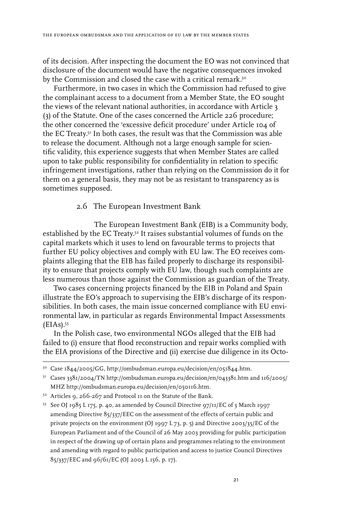of its decision. After inspecting the document the EO was not convinced that disclosure of the document would have the negative consequences invoked by the Commission and closed the case with a critical remark.<sup>50</sup>

Furthermore, in two cases in which the Commission had refused to give the complainant access to a document from a Member State, the EO sought the views of the relevant national authorities, in accordance with Article 3 (3) of the Statute. One of the cases concerned the Article 226 procedure; the other concerned the 'excessive deficit procedure' under Article 104 of the EC Treaty.51 In both cases, the result was that the Commission was able to release the document. Although not a large enough sample for scientific validity, this experience suggests that when Member States are called upon to take public responsibility for confidentiality in relation to specific infringement investigations, rather than relying on the Commission do it for them on a general basis, they may not be as resistant to transparency as is sometimes supposed.

## 2.6 The European Investment Bank

The European Investment Bank (EIB) is a Community body, established by the EC Treaty.52 It raises substantial volumes of funds on the capital markets which it uses to lend on favourable terms to projects that further EU policy objectives and comply with EU law. The EO receives complaints alleging that the EIB has failed properly to discharge its responsibility to ensure that projects comply with EU law, though such complaints are less numerous than those against the Commission as guardian of the Treaty.

Two cases concerning projects financed by the EIB in Poland and Spain illustrate the EO's approach to supervising the EIB's discharge of its responsibilities. In both cases, the main issue concerned compliance with EU environmental law, in particular as regards Environmental Impact Assessments  $(EIAS).$ <sup>53</sup>

In the Polish case, two environmental NGOs alleged that the EIB had failed to (i) ensure that flood reconstruction and repair works complied with the EIA provisions of the Directive and (ii) exercise due diligence in its Octo-

<sup>50</sup> Case 1844/2005/GG, http://ombudsman.europa.eu/decision/en/051844.htm.

<sup>51</sup> Cases 3381/2004/TN http://ombudsman.europa.eu/decision/en/043381.htm and 116/2005/ MHZ http://ombudsman.europa.eu/decision/en/050116.htm.

<sup>&</sup>lt;sup>52</sup> Articles 9, 266-267 and Protocol II on the Statute of the Bank.

<sup>53</sup> See OJ 1985 L 175, p. 40, as amended by Council Directive 97/11/EC of 3 March 1997 amending Directive 85/337/EEC on the assessment of the effects of certain public and private projects on the environment (OJ 1997 L 73, p. 5) and Directive 2003/35/EC of the European Parliament and of the Council of 26 May 2003 providing for public participation in respect of the drawing up of certain plans and programmes relating to the environment and amending with regard to public participation and access to justice Council Directives 85/337/EEC and 96/61/EC (OJ 2003 L 156, p. 17).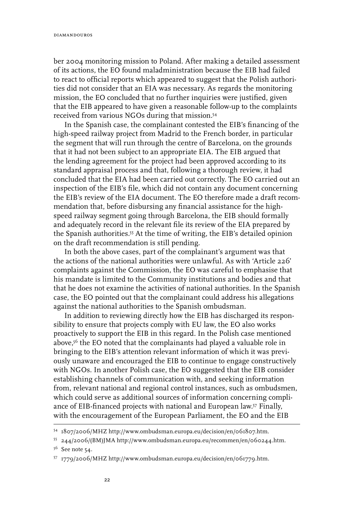ber 2004 monitoring mission to Poland. After making a detailed assessment of its actions, the EO found maladministration because the EIB had failed to react to official reports which appeared to suggest that the Polish authorities did not consider that an EIA was necessary. As regards the monitoring mission, the EO concluded that no further inquiries were justified, given that the EIB appeared to have given a reasonable follow-up to the complaints received from various NGOs during that mission.54

In the Spanish case, the complainant contested the EIB's financing of the high-speed railway project from Madrid to the French border, in particular the segment that will run through the centre of Barcelona, on the grounds that it had not been subject to an appropriate EIA. The EIB argued that the lending agreement for the project had been approved according to its standard appraisal process and that, following a thorough review, it had concluded that the EIA had been carried out correctly. The EO carried out an inspection of the EIB's file, which did not contain any document concerning the EIB's review of the EIA document. The EO therefore made a draft recommendation that, before disbursing any financial assistance for the highspeed railway segment going through Barcelona, the EIB should formally and adequately record in the relevant file its review of the EIA prepared by the Spanish authorities.<sup>55</sup> At the time of writing, the EIB's detailed opinion on the draft recommendation is still pending.

In both the above cases, part of the complainant's argument was that the actions of the national authorities were unlawful. As with 'Article 226' complaints against the Commission, the EO was careful to emphasise that his mandate is limited to the Community institutions and bodies and that that he does not examine the activities of national authorities. In the Spanish case, the EO pointed out that the complainant could address his allegations against the national authorities to the Spanish ombudsman.

In addition to reviewing directly how the EIB has discharged its responsibility to ensure that projects comply with EU law, the EO also works proactively to support the EIB in this regard. In the Polish case mentioned above,<sup>56</sup> the EO noted that the complainants had played a valuable role in bringing to the EIB's attention relevant information of which it was previously unaware and encouraged the EIB to continue to engage constructively with NGOs. In another Polish case, the EO suggested that the EIB consider establishing channels of communication with, and seeking information from, relevant national and regional control instances, such as ombudsmen, which could serve as additional sources of information concerning compliance of EIB-financed projects with national and European law.57 Finally, with the encouragement of the European Parliament, the EO and the EIB

<sup>54 1807/2006/</sup>MHZ http://www.ombudsman.europa.eu/decision/en/061807.htm.

<sup>55 244/2006/(</sup>BM)JMA http://www.ombudsman.europa.eu/recommen/en/060244.htm.

<sup>56</sup> See note 54.

<sup>57 1779/2006/</sup>MHZ http://www.ombudsman.europa.eu/decision/en/061779.htm.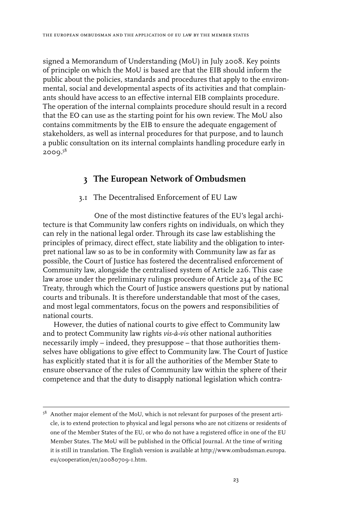signed a Memorandum of Understanding (MoU) in July 2008. Key points of principle on which the MoU is based are that the EIB should inform the public about the policies, standards and procedures that apply to the environmental, social and developmental aspects of its activities and that complainants should have access to an effective internal EIB complaints procedure. The operation of the internal complaints procedure should result in a record that the EO can use as the starting point for his own review. The MoU also contains commitments by the EIB to ensure the adequate engagement of stakeholders, as well as internal procedures for that purpose, and to launch a public consultation on its internal complaints handling procedure early in  $2000.<sup>58</sup>$ 

# **3 The European Network of Ombudsmen**

### 3.1 The Decentralised Enforcement of EU Law

One of the most distinctive features of the EU's legal architecture is that Community law confers rights on individuals, on which they can rely in the national legal order. Through its case law establishing the principles of primacy, direct effect, state liability and the obligation to interpret national law so as to be in conformity with Community law as far as possible, the Court of Justice has fostered the decentralised enforcement of Community law, alongside the centralised system of Article 226. This case law arose under the preliminary rulings procedure of Article 234 of the EC Treaty, through which the Court of Justice answers questions put by national courts and tribunals. It is therefore understandable that most of the cases, and most legal commentators, focus on the powers and responsibilities of national courts.

However, the duties of national courts to give effect to Community law and to protect Community law rights *vis-à-vis* other national authorities necessarily imply – indeed, they presuppose – that those authorities themselves have obligations to give effect to Community law. The Court of Justice has explicitly stated that it is for all the authorities of the Member State to ensure observance of the rules of Community law within the sphere of their competence and that the duty to disapply national legislation which contra-

<sup>&</sup>lt;sup>58</sup> Another major element of the MoU, which is not relevant for purposes of the present article, is to extend protection to physical and legal persons who are not citizens or residents of one of the Member States of the EU, or who do not have a registered office in one of the EU Member States. The MoU will be published in the Official Journal. At the time of writing it is still in translation. The English version is available at http://www.ombudsman.europa. eu/cooperation/en/20080709-1.htm.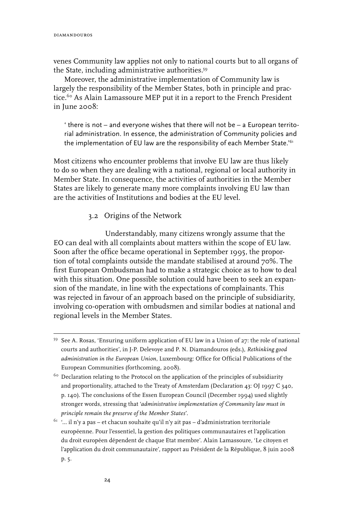venes Community law applies not only to national courts but to all organs of the State, including administrative authorities.<sup>59</sup>

Moreover, the administrative implementation of Community law is largely the responsibility of the Member States, both in principle and practice.<sup>60</sup> As Alain Lamassoure MEP put it in a report to the French President in June 2008:

' there is not – and everyone wishes that there will not be – a European territorial administration. In essence, the administration of Community policies and the implementation of EU law are the responsibility of each Member State.<sup>'61</sup>

Most citizens who encounter problems that involve EU law are thus likely to do so when they are dealing with a national, regional or local authority in Member State. In consequence, the activities of authorities in the Member States are likely to generate many more complaints involving EU law than are the activities of Institutions and bodies at the EU level.

# 3.2 Origins of the Network

Understandably, many citizens wrongly assume that the EO can deal with all complaints about matters within the scope of EU law. Soon after the office became operational in September 1995, the proportion of total complaints outside the mandate stabilised at around 70%. The first European Ombudsman had to make a strategic choice as to how to deal with this situation. One possible solution could have been to seek an expansion of the mandate, in line with the expectations of complainants. This was rejected in favour of an approach based on the principle of subsidiarity, involving co-operation with ombudsmen and similar bodies at national and regional levels in the Member States.

<sup>&</sup>lt;sup>59</sup> See A. Rosas, 'Ensuring uniform application of EU law in a Union of  $27$ : the role of national courts and authorities', in J-P. Delevoye and P. N. Diamandouros (eds.), *Rethinking good administration in the European Union*, Luxembourg: Office for Official Publications of the European Communities (forthcoming, 2008).

<sup>&</sup>lt;sup>60</sup> Declaration relating to the Protocol on the application of the principles of subsidiarity and proportionality, attached to the Treaty of Amsterdam (Declaration 43: OJ 1997 C 340, p. 140). The conclusions of the Essen European Council (December 1994) used slightly stronger words, stressing that '*administrative implementation of Community law must in principle remain the preserve of the Member States*'.

 $^{61}$  '... il n'y a pas – et chacun souhaite qu'il n'y ait pas – d'administration territoriale européenne. Pour l'essentiel, la gestion des politiques communautaires et l'application du droit européen dépendent de chaque Etat membre'. Alain Lamassoure, 'Le citoyen et l'application du droit communautaire', rapport au Président de la République, 8 juin 2008 p. 5.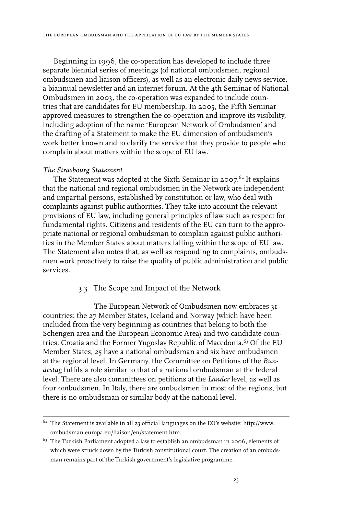Beginning in 1996, the co-operation has developed to include three separate biennial series of meetings (of national ombudsmen, regional ombudsmen and liaison officers), as well as an electronic daily news service, a biannual newsletter and an internet forum. At the 4th Seminar of National Ombudsmen in 2003, the co-operation was expanded to include countries that are candidates for EU membership. In 2005, the Fifth Seminar approved measures to strengthen the co-operation and improve its visibility, including adoption of the name 'European Network of Ombudsmen' and the drafting of a Statement to make the EU dimension of ombudsmen's work better known and to clarify the service that they provide to people who complain about matters within the scope of EU law.

#### *The Strasbourg Statement*

The Statement was adopted at the Sixth Seminar in 2007. $^{62}$  It explains that the national and regional ombudsmen in the Network are independent and impartial persons, established by constitution or law, who deal with complaints against public authorities. They take into account the relevant provisions of EU law, including general principles of law such as respect for fundamental rights. Citizens and residents of the EU can turn to the appropriate national or regional ombudsman to complain against public authorities in the Member States about matters falling within the scope of EU law. The Statement also notes that, as well as responding to complaints, ombudsmen work proactively to raise the quality of public administration and public services.

### 3.3 The Scope and Impact of the Network

The European Network of Ombudsmen now embraces 31 countries: the 27 Member States, Iceland and Norway (which have been included from the very beginning as countries that belong to both the Schengen area and the European Economic Area) and two candidate countries, Croatia and the Former Yugoslav Republic of Macedonia.<sup>63</sup> Of the EU Member States, 25 have a national ombudsman and six have ombudsmen at the regional level. In Germany, the Committee on Petitions of the *Bundestag* fulfils a role similar to that of a national ombudsman at the federal level. There are also committees on petitions at the *Länder* level, as well as four ombudsmen. In Italy, there are ombudsmen in most of the regions, but there is no ombudsman or similar body at the national level.

 $62$  The Statement is available in all 23 official languages on the EO's website: http://www. ombudsman.europa.eu/liaison/en/statement.htm.

 $63$  The Turkish Parliament adopted a law to establish an ombudsman in 2006, elements of which were struck down by the Turkish constitutional court. The creation of an ombudsman remains part of the Turkish government's legislative programme.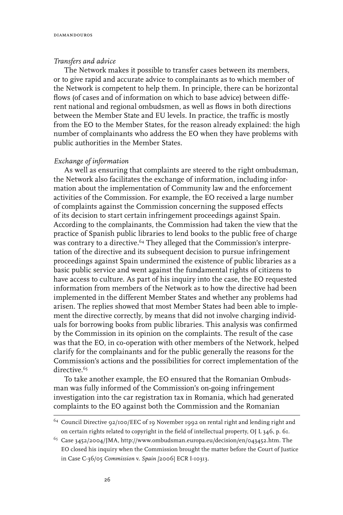#### *Transfers and advice*

The Network makes it possible to transfer cases between its members, or to give rapid and accurate advice to complainants as to which member of the Network is competent to help them. In principle, there can be horizontal flows (of cases and of information on which to base advice) between different national and regional ombudsmen, as well as flows in both directions between the Member State and EU levels. In practice, the traffic is mostly from the EO to the Member States, for the reason already explained: the high number of complainants who address the EO when they have problems with public authorities in the Member States.

#### *Exchange of information*

As well as ensuring that complaints are steered to the right ombudsman, the Network also facilitates the exchange of information, including information about the implementation of Community law and the enforcement activities of the Commission. For example, the EO received a large number of complaints against the Commission concerning the supposed effects of its decision to start certain infringement proceedings against Spain. According to the complainants, the Commission had taken the view that the practice of Spanish public libraries to lend books to the public free of charge was contrary to a directive.<sup>64</sup> They alleged that the Commission's interpretation of the directive and its subsequent decision to pursue infringement proceedings against Spain undermined the existence of public libraries as a basic public service and went against the fundamental rights of citizens to have access to culture. As part of his inquiry into the case, the EO requested information from members of the Network as to how the directive had been implemented in the different Member States and whether any problems had arisen. The replies showed that most Member States had been able to implement the directive correctly, by means that did not involve charging individuals for borrowing books from public libraries. This analysis was confirmed by the Commission in its opinion on the complaints. The result of the case was that the EO, in co-operation with other members of the Network, helped clarify for the complainants and for the public generally the reasons for the Commission's actions and the possibilities for correct implementation of the directive.<sup>65</sup>

To take another example, the EO ensured that the Romanian Ombudsman was fully informed of the Commission's on-going infringement investigation into the car registration tax in Romania, which had generated complaints to the EO against both the Commission and the Romanian

<sup>64</sup> Council Directive 92/100/EEC of 19 November 1992 on rental right and lending right and on certain rights related to copyright in the field of intellectual property, OJ L 346, p. 61.

<sup>65</sup> Case 3452/2004/JMA, http://www.ombudsman.europa.eu/decision/en/043452.htm. The EO closed his inquiry when the Commission brought the matter before the Court of Justice in Case C-36/05 *Commission* v. *Spain [*2006] ECR I-10313.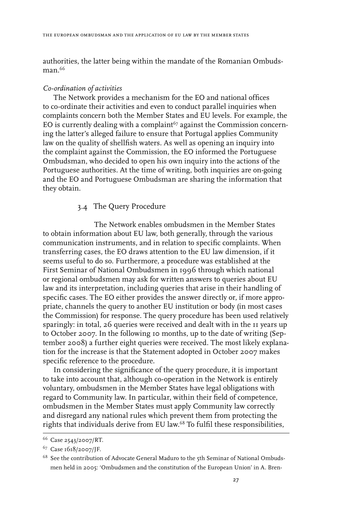authorities, the latter being within the mandate of the Romanian Ombuds $man.<sup>66</sup>$ 

#### *Co-ordination of activities*

The Network provides a mechanism for the EO and national offices to co-ordinate their activities and even to conduct parallel inquiries when complaints concern both the Member States and EU levels. For example, the EO is currently dealing with a complaint<sup>67</sup> against the Commission concerning the latter's alleged failure to ensure that Portugal applies Community law on the quality of shellfish waters. As well as opening an inquiry into the complaint against the Commission, the EO informed the Portuguese Ombudsman, who decided to open his own inquiry into the actions of the Portuguese authorities. At the time of writing, both inquiries are on-going and the EO and Portuguese Ombudsman are sharing the information that they obtain.

### 3.4 The Query Procedure

The Network enables ombudsmen in the Member States to obtain information about EU law, both generally, through the various communication instruments, and in relation to specific complaints. When transferring cases, the EO draws attention to the EU law dimension, if it seems useful to do so. Furthermore, a procedure was established at the First Seminar of National Ombudsmen in 1996 through which national or regional ombudsmen may ask for written answers to queries about EU law and its interpretation, including queries that arise in their handling of specific cases. The EO either provides the answer directly or, if more appropriate, channels the query to another EU institution or body (in most cases the Commission) for response. The query procedure has been used relatively sparingly: in total, 26 queries were received and dealt with in the 11 years up to October 2007. In the following 10 months, up to the date of writing (September 2008) a further eight queries were received. The most likely explanation for the increase is that the Statement adopted in October 2007 makes specific reference to the procedure.

In considering the significance of the query procedure, it is important to take into account that, although co-operation in the Network is entirely voluntary, ombudsmen in the Member States have legal obligations with regard to Community law. In particular, within their field of competence, ombudsmen in the Member States must apply Community law correctly and disregard any national rules which prevent them from protecting the rights that individuals derive from EU law.<sup>68</sup> To fulfil these responsibilities,

<sup>66</sup> Case 2543/2007/RT.

<sup>67</sup> Case 1618/2007/JF.

 $^{68}\,$  See the contribution of Advocate General Maduro to the 5th Seminar of National Ombudsmen held in 2005: 'Ombudsmen and the constitution of the European Union' in A. Bren-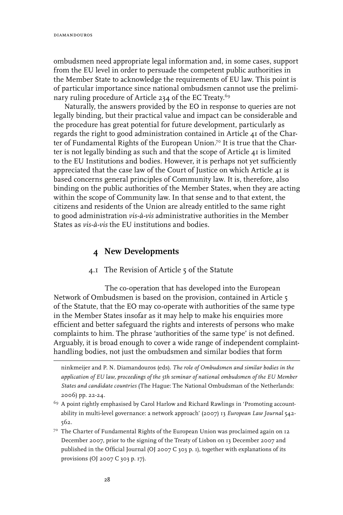ombudsmen need appropriate legal information and, in some cases, support from the EU level in order to persuade the competent public authorities in the Member State to acknowledge the requirements of EU law. This point is of particular importance since national ombudsmen cannot use the preliminary ruling procedure of Article 234 of the EC Treaty.<sup>69</sup>

Naturally, the answers provided by the EO in response to queries are not legally binding, but their practical value and impact can be considerable and the procedure has great potential for future development, particularly as regards the right to good administration contained in Article 41 of the Charter of Fundamental Rights of the European Union.<sup>70</sup> It is true that the Charter is not legally binding as such and that the scope of Article 41 is limited to the EU Institutions and bodies. However, it is perhaps not yet sufficiently appreciated that the case law of the Court of Justice on which Article  $4I$  is based concerns general principles of Community law. It is, therefore, also binding on the public authorities of the Member States, when they are acting within the scope of Community law. In that sense and to that extent, the citizens and residents of the Union are already entitled to the same right to good administration *vis-à-vis* administrative authorities in the Member States as *vis-à-vis* the EU institutions and bodies.

# **4 New Developments**

### 4.1 The Revision of Article 5 of the Statute

The co-operation that has developed into the European Network of Ombudsmen is based on the provision, contained in Article 5 of the Statute, that the EO may co-operate with authorities of the same type in the Member States insofar as it may help to make his enquiries more efficient and better safeguard the rights and interests of persons who make complaints to him. The phrase 'authorities of the same type' is not defined. Arguably, it is broad enough to cover a wide range of independent complainthandling bodies, not just the ombudsmen and similar bodies that form

ninkmeijer and P. N. Diamandouros (eds). *The role of Ombudsmen and similar bodies in the application of EU law, proceedings of the 5th seminar of national ombudsmen of the EU Member States and candidate countries* (The Hague: The National Ombudsman of the Netherlands: 2006) pp. 22-24.

<sup>69</sup> A point rightly emphasised by Carol Harlow and Richard Rawlings in 'Promoting accountability in multi-level governance: a network approach' (2007) 13 *European Law Journal* 542- 562.

<sup>7</sup>º The Charter of Fundamental Rights of the European Union was proclaimed again on 12 December 2007, prior to the signing of the Treaty of Lisbon on 13 December 2007 and published in the Official Journal (OJ 2007 C 303 p. 1), together with explanations of its provisions (OJ 2007 C 303 p. 17).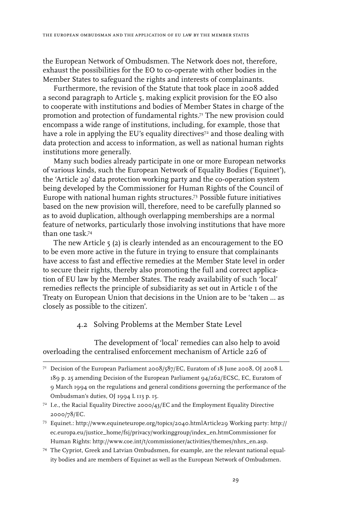the European Network of Ombudsmen. The Network does not, therefore, exhaust the possibilities for the EO to co-operate with other bodies in the Member States to safeguard the rights and interests of complainants.

Furthermore, the revision of the Statute that took place in 2008 added a second paragraph to Article 5, making explicit provision for the EO also to cooperate with institutions and bodies of Member States in charge of the promotion and protection of fundamental rights.<sup>71</sup> The new provision could encompass a wide range of institutions, including, for example, those that have a role in applying the EU's equality directives<sup>72</sup> and those dealing with data protection and access to information, as well as national human rights institutions more generally.

Many such bodies already participate in one or more European networks of various kinds, such the European Network of Equality Bodies ('Equinet'), the 'Article 29' data protection working party and the co-operation system being developed by the Commissioner for Human Rights of the Council of Europe with national human rights structures.73 Possible future initiatives based on the new provision will, therefore, need to be carefully planned so as to avoid duplication, although overlapping memberships are a normal feature of networks, particularly those involving institutions that have more than one task.74

The new Article 5 (2) is clearly intended as an encouragement to the EO to be even more active in the future in trying to ensure that complainants have access to fast and effective remedies at the Member State level in order to secure their rights, thereby also promoting the full and correct application of EU law by the Member States. The ready availability of such 'local' remedies reflects the principle of subsidiarity as set out in Article 1 of the Treaty on European Union that decisions in the Union are to be 'taken … as closely as possible to the citizen'.

### 4.2 Solving Problems at the Member State Level

The development of 'local' remedies can also help to avoid overloading the centralised enforcement mechanism of Article 226 of

<sup>&</sup>lt;sup>71</sup> Decision of the European Parliament 2008/587/EC, Euratom of 18 June 2008, OJ 2008 L 189 p. 25 amending Decision of the European Parliament 94/262/ECSC, EC, Euratom of 9 March 1994 on the regulations and general conditions governing the performance of the Ombudsman's duties, OJ 1994 L 113 p. 15.

 $72$  I.e., the Racial Equality Directive 2000/43/EC and the Employment Equality Directive 2000/78/EC.

<sup>73</sup> Equinet.: http://www.equineteurope.org/topics/2040.htmlArticle29 Working party: http:// ec.europa.eu/justice\_home/fsj/privacy/workinggroup/index\_en.htmCommissioner for Human Rights: http://www.coe.int/t/commissioner/activities/themes/nhrs\_en.asp.

<sup>74</sup> The Cypriot, Greek and Latvian Ombudsmen, for example, are the relevant national equality bodies and are members of Equinet as well as the European Network of Ombudsmen.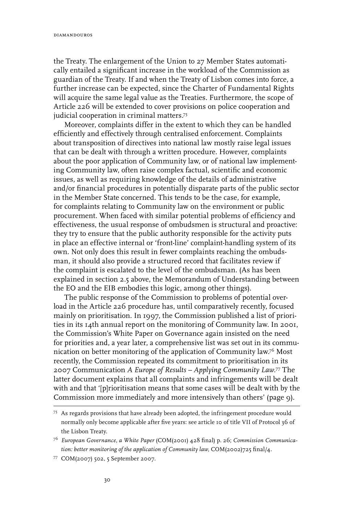the Treaty. The enlargement of the Union to 27 Member States automatically entailed a significant increase in the workload of the Commission as guardian of the Treaty. If and when the Treaty of Lisbon comes into force, a further increase can be expected, since the Charter of Fundamental Rights will acquire the same legal value as the Treaties. Furthermore, the scope of Article 226 will be extended to cover provisions on police cooperation and judicial cooperation in criminal matters.<sup>75</sup>

Moreover, complaints differ in the extent to which they can be handled efficiently and effectively through centralised enforcement. Complaints about transposition of directives into national law mostly raise legal issues that can be dealt with through a written procedure. However, complaints about the poor application of Community law, or of national law implementing Community law, often raise complex factual, scientific and economic issues, as well as requiring knowledge of the details of administrative and/or financial procedures in potentially disparate parts of the public sector in the Member State concerned. This tends to be the case, for example, for complaints relating to Community law on the environment or public procurement. When faced with similar potential problems of efficiency and effectiveness, the usual response of ombudsmen is structural and proactive: they try to ensure that the public authority responsible for the activity puts in place an effective internal or 'front-line' complaint-handling system of its own. Not only does this result in fewer complaints reaching the ombudsman, it should also provide a structured record that facilitates review if the complaint is escalated to the level of the ombudsman. (As has been explained in section 2.5 above, the Memorandum of Understanding between the EO and the EIB embodies this logic, among other things).

The public response of the Commission to problems of potential overload in the Article 226 procedure has, until comparatively recently, focused mainly on prioritisation. In 1997, the Commission published a list of priorities in its 14th annual report on the monitoring of Community law. In 2001, the Commission's White Paper on Governance again insisted on the need for priorities and, a year later, a comprehensive list was set out in its communication on better monitoring of the application of Community law.76 Most recently, the Commission repeated its commitment to prioritisation in its 2007 Communication *A Europe of Results – Applying Community Law.*77 The latter document explains that all complaints and infringements will be dealt with and that '[p]rioritisation means that some cases will be dealt with by the Commission more immediately and more intensively than others' (page 9).

<sup>75</sup> As regards provisions that have already been adopted, the infringement procedure would normally only become applicable after five years: see article 10 of title VII of Protocol 36 of the Lisbon Treaty.

<sup>76</sup> *European Governance, a White Paper* (COM(2001) 428 final) p. 26; *Commission Communication: better monitoring of the application of Community law,* COM(2002)725 final/4.

<sup>77</sup> COM(2007) 502, 5 September 2007.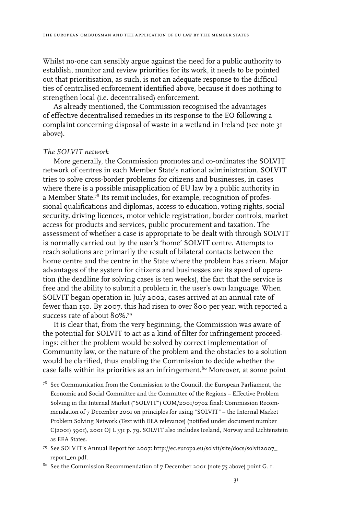Whilst no-one can sensibly argue against the need for a public authority to establish, monitor and review priorities for its work, it needs to be pointed out that prioritisation, as such, is not an adequate response to the difficulties of centralised enforcement identified above, because it does nothing to strengthen local (i.e. decentralised) enforcement.

As already mentioned, the Commission recognised the advantages of effective decentralised remedies in its response to the EO following a complaint concerning disposal of waste in a wetland in Ireland (see note 31 above).

#### *The SOLVIT network*

More generally, the Commission promotes and co-ordinates the SOLVIT network of centres in each Member State's national administration. SOLVIT tries to solve cross-border problems for citizens and businesses, in cases where there is a possible misapplication of EU law by a public authority in a Member State.<sup>78</sup> Its remit includes, for example, recognition of professional qualifications and diplomas, access to education, voting rights, social security, driving licences, motor vehicle registration, border controls, market access for products and services, public procurement and taxation. The assessment of whether a case is appropriate to be dealt with through SOLVIT is normally carried out by the user's 'home' SOLVIT centre. Attempts to reach solutions are primarily the result of bilateral contacts between the home centre and the centre in the State where the problem has arisen. Major advantages of the system for citizens and businesses are its speed of operation (the deadline for solving cases is ten weeks), the fact that the service is free and the ability to submit a problem in the user's own language. When SOLVIT began operation in July 2002, cases arrived at an annual rate of fewer than 150. By 2007, this had risen to over 800 per year, with reported a success rate of about 80%.79

It is clear that, from the very beginning, the Commission was aware of the potential for SOLVIT to act as a kind of filter for infringement proceedings: either the problem would be solved by correct implementation of Community law, or the nature of the problem and the obstacles to a solution would be clarified, thus enabling the Commission to decide whether the case falls within its priorities as an infringement.<sup>80</sup> Moreover, at some point

<sup>80</sup> See the Commission Recommendation of 7 December 2001 (note 75 above) point G. 1.

 $78$  See Communication from the Commission to the Council, the European Parliament, the Economic and Social Committee and the Committee of the Regions – Effective Problem Solving in the Internal Market ("SOLVIT") COM/2001/0702 final; Commission Recommendation of 7 December 2001 on principles for using "SOLVIT" – the Internal Market Problem Solving Network (Text with EEA relevance) (notified under document number C(2001) 3901), 2001 OJ L 331 p. 79. SOLVIT also includes Iceland, Norway and Lichtenstein as EEA States.

<sup>79</sup> See SOLVIT's Annual Report for 2007: http://ec.europa.eu/solvit/site/docs/solvit2007\_ report\_en.pdf.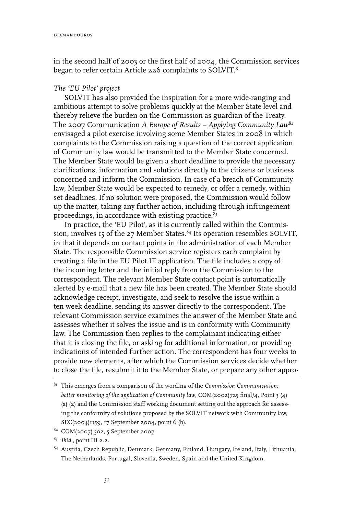in the second half of 2003 or the first half of 2004, the Commission services began to refer certain Article 226 complaints to SOLVIT.<sup>81</sup>

#### *The 'EU Pilot' project*

SOLVIT has also provided the inspiration for a more wide-ranging and ambitious attempt to solve problems quickly at the Member State level and thereby relieve the burden on the Commission as guardian of the Treaty. The 2007 Communication *A Europe of Results – Applying Community Law*<sup>82</sup> envisaged a pilot exercise involving some Member States in 2008 in which complaints to the Commission raising a question of the correct application of Community law would be transmitted to the Member State concerned. The Member State would be given a short deadline to provide the necessary clarifications, information and solutions directly to the citizens or business concerned and inform the Commission. In case of a breach of Community law, Member State would be expected to remedy, or offer a remedy, within set deadlines. If no solution were proposed, the Commission would follow up the matter, taking any further action, including through infringement proceedings, in accordance with existing practice. $8<sup>3</sup>$ 

In practice, the 'EU Pilot', as it is currently called within the Commission, involves 15 of the 27 Member States.<sup>84</sup> Its operation resembles SOLVIT, in that it depends on contact points in the administration of each Member State. The responsible Commission service registers each complaint by creating a file in the EU Pilot IT application. The file includes a copy of the incoming letter and the initial reply from the Commission to the correspondent. The relevant Member State contact point is automatically alerted by e-mail that a new file has been created. The Member State should acknowledge receipt, investigate, and seek to resolve the issue within a ten week deadline, sending its answer directly to the correspondent. The relevant Commission service examines the answer of the Member State and assesses whether it solves the issue and is in conformity with Community law. The Commission then replies to the complainant indicating either that it is closing the file, or asking for additional information, or providing indications of intended further action. The correspondent has four weeks to provide new elements, after which the Commission services decide whether to close the file, resubmit it to the Member State, or prepare any other appro-

- 82 COM(2007) 502, 5 September 2007.
- 83 *Ibid*., point III 2.2.

<sup>81</sup> This emerges from a comparison of the wording of the *Commission Communication: better monitoring of the application of Community law,* COM(2002)725 final/4, Point 3 (4) (a) (2) and the Commission staff working document setting out the approach for assessing the conformity of solutions proposed by the SOLVIT network with Community law, SEC(2004)1159, 17 September 2004, point 6 (b).

<sup>84</sup> Austria, Czech Republic, Denmark, Germany, Finland, Hungary, Ireland, Italy, Lithuania, The Netherlands, Portugal, Slovenia, Sweden, Spain and the United Kingdom.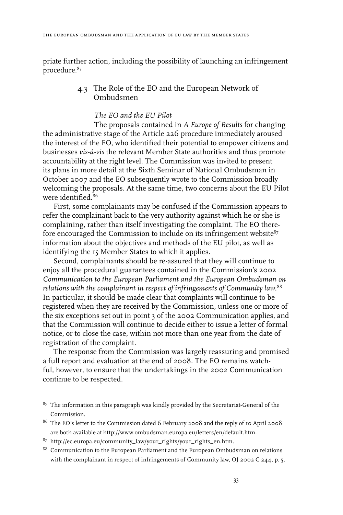priate further action, including the possibility of launching an infringement procedure.<sup>85</sup>

> 4.3 The Role of the EO and the European Network of Ombudsmen

# *The EO and the EU Pilot*

The proposals contained in *A Europe of Results* for changing the administrative stage of the Article 226 procedure immediately aroused the interest of the EO, who identified their potential to empower citizens and businesses *vis-à-vis* the relevant Member State authorities and thus promote accountability at the right level. The Commission was invited to present its plans in more detail at the Sixth Seminar of National Ombudsman in October 2007 and the EO subsequently wrote to the Commission broadly welcoming the proposals. At the same time, two concerns about the EU Pilot were identified.86

First, some complainants may be confused if the Commission appears to refer the complainant back to the very authority against which he or she is complaining, rather than itself investigating the complaint. The EO therefore encouraged the Commission to include on its infringement website $87$ information about the objectives and methods of the EU pilot, as well as identifying the 15 Member States to which it applies.

Second, complainants should be re-assured that they will continue to enjoy all the procedural guarantees contained in the Commission's 2002 *Communication to the European Parliament and the European Ombudsman on relations with the complainant in respect of infringements of Community law.*<sup>88</sup> In particular, it should be made clear that complaints will continue to be registered when they are received by the Commission, unless one or more of the six exceptions set out in point 3 of the 2002 Communication applies, and that the Commission will continue to decide either to issue a letter of formal notice, or to close the case, within not more than one year from the date of registration of the complaint.

The response from the Commission was largely reassuring and promised a full report and evaluation at the end of 2008. The EO remains watchful, however, to ensure that the undertakings in the 2002 Communication continue to be respected.

 $85$  The information in this paragraph was kindly provided by the Secretariat-General of the Commission.

<sup>86</sup> The EO's letter to the Commission dated 6 February 2008 and the reply of 10 April 2008 are both available at http://www.ombudsman.europa.eu/letters/en/default.htm.

 $87$  http://ec.europa.eu/community\_law/your\_rights/your\_rights\_en.htm.

<sup>88</sup> Communication to the European Parliament and the European Ombudsman on relations with the complainant in respect of infringements of Community law, OJ 2002 C 244, p. 5.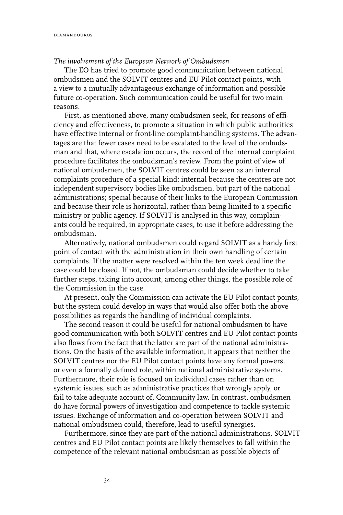#### *The involvement of the European Network of Ombudsmen*

The EO has tried to promote good communication between national ombudsmen and the SOLVIT centres and EU Pilot contact points, with a view to a mutually advantageous exchange of information and possible future co-operation. Such communication could be useful for two main reasons.

First, as mentioned above, many ombudsmen seek, for reasons of efficiency and effectiveness, to promote a situation in which public authorities have effective internal or front-line complaint-handling systems. The advantages are that fewer cases need to be escalated to the level of the ombudsman and that, where escalation occurs, the record of the internal complaint procedure facilitates the ombudsman's review. From the point of view of national ombudsmen, the SOLVIT centres could be seen as an internal complaints procedure of a special kind: internal because the centres are not independent supervisory bodies like ombudsmen, but part of the national administrations; special because of their links to the European Commission and because their role is horizontal, rather than being limited to a specific ministry or public agency. If SOLVIT is analysed in this way, complainants could be required, in appropriate cases, to use it before addressing the ombudsman.

Alternatively, national ombudsmen could regard SOLVIT as a handy first point of contact with the administration in their own handling of certain complaints. If the matter were resolved within the ten week deadline the case could be closed. If not, the ombudsman could decide whether to take further steps, taking into account, among other things, the possible role of the Commission in the case.

At present, only the Commission can activate the EU Pilot contact points, but the system could develop in ways that would also offer both the above possibilities as regards the handling of individual complaints.

The second reason it could be useful for national ombudsmen to have good communication with both SOLVIT centres and EU Pilot contact points also flows from the fact that the latter are part of the national administrations. On the basis of the available information, it appears that neither the SOLVIT centres nor the EU Pilot contact points have any formal powers, or even a formally defined role, within national administrative systems. Furthermore, their role is focused on individual cases rather than on systemic issues, such as administrative practices that wrongly apply, or fail to take adequate account of, Community law. In contrast, ombudsmen do have formal powers of investigation and competence to tackle systemic issues. Exchange of information and co-operation between SOLVIT and national ombudsmen could, therefore, lead to useful synergies.

Furthermore, since they are part of the national administrations, SOLVIT centres and EU Pilot contact points are likely themselves to fall within the competence of the relevant national ombudsman as possible objects of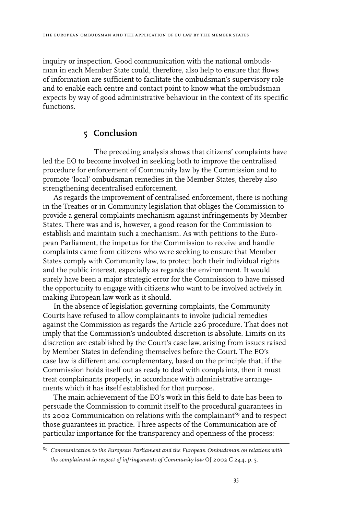inquiry or inspection. Good communication with the national ombudsman in each Member State could, therefore, also help to ensure that flows of information are sufficient to facilitate the ombudsman's supervisory role and to enable each centre and contact point to know what the ombudsman expects by way of good administrative behaviour in the context of its specific functions.

# 5 Conclusion

The preceding analysis shows that citizens' complaints have led the EO to become involved in seeking both to improve the centralised procedure for enforcement of Community law by the Commission and to promote 'local' ombudsman remedies in the Member States, thereby also strengthening decentralised enforcement.

As regards the improvement of centralised enforcement, there is nothing in the Treaties or in Community legislation that obliges the Commission to provide a general complaints mechanism against infringements by Member States. There was and is, however, a good reason for the Commission to establish and maintain such a mechanism. As with petitions to the European Parliament, the impetus for the Commission to receive and handle complaints came from citizens who were seeking to ensure that Member States comply with Community law, to protect both their individual rights and the public interest, especially as regards the environment. It would surely have been a major strategic error for the Commission to have missed the opportunity to engage with citizens who want to be involved actively in making European law work as it should.

In the absence of legislation governing complaints, the Community Courts have refused to allow complainants to invoke judicial remedies against the Commission as regards the Article 226 procedure. That does not imply that the Commission's undoubted discretion is absolute. Limits on its discretion are established by the Court's case law, arising from issues raised by Member States in defending themselves before the Court. The EO's case law is different and complementary, based on the principle that, if the Commission holds itself out as ready to deal with complaints, then it must treat complainants properly, in accordance with administrative arrangements which it has itself established for that purpose.

The main achievement of the EO's work in this field to date has been to persuade the Commission to commit itself to the procedural guarantees in its 2002 Communication on relations with the complainant<sup>89</sup> and to respect those guarantees in practice. Three aspects of the Communication are of particular importance for the transparency and openness of the process:

<sup>89</sup> *Communication to the European Parliament and the European Ombudsman on relations with the complainant in respect of infringements of Community law* OJ 2002 C 244, p. 5.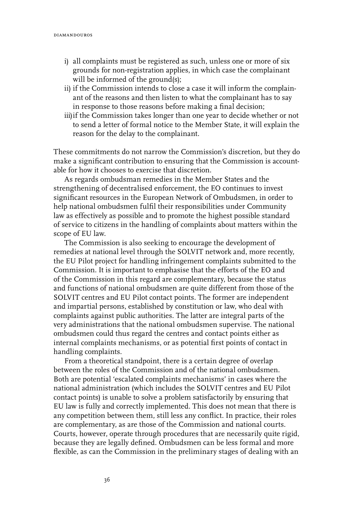- i) all complaints must be registered as such, unless one or more of six grounds for non-registration applies, in which case the complainant will be informed of the ground(s);
- ii) if the Commission intends to close a case it will inform the complainant of the reasons and then listen to what the complainant has to say in response to those reasons before making a final decision;
- iii) if the Commission takes longer than one year to decide whether or not to send a letter of formal notice to the Member State, it will explain the reason for the delay to the complainant.

These commitments do not narrow the Commission's discretion, but they do make a significant contribution to ensuring that the Commission is accountable for how it chooses to exercise that discretion.

As regards ombudsman remedies in the Member States and the strengthening of decentralised enforcement, the EO continues to invest significant resources in the European Network of Ombudsmen, in order to help national ombudsmen fulfil their responsibilities under Community law as effectively as possible and to promote the highest possible standard of service to citizens in the handling of complaints about matters within the scope of EU law.

The Commission is also seeking to encourage the development of remedies at national level through the SOLVIT network and, more recently, the EU Pilot project for handling infringement complaints submitted to the Commission. It is important to emphasise that the efforts of the EO and of the Commission in this regard are complementary, because the status and functions of national ombudsmen are quite different from those of the SOLVIT centres and EU Pilot contact points. The former are independent and impartial persons, established by constitution or law, who deal with complaints against public authorities. The latter are integral parts of the very administrations that the national ombudsmen supervise. The national ombudsmen could thus regard the centres and contact points either as internal complaints mechanisms, or as potential first points of contact in handling complaints.

From a theoretical standpoint, there is a certain degree of overlap between the roles of the Commission and of the national ombudsmen. Both are potential 'escalated complaints mechanisms' in cases where the national administration (which includes the SOLVIT centres and EU Pilot contact points) is unable to solve a problem satisfactorily by ensuring that EU law is fully and correctly implemented. This does not mean that there is any competition between them, still less any conflict. In practice, their roles are complementary, as are those of the Commission and national courts. Courts, however, operate through procedures that are necessarily quite rigid, because they are legally defined. Ombudsmen can be less formal and more flexible, as can the Commission in the preliminary stages of dealing with an